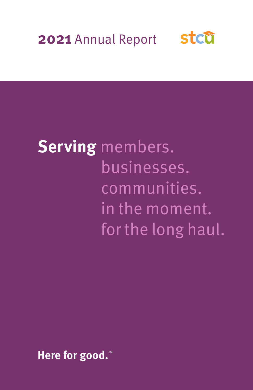

# **Serving** members. businesses. communities. in the moment. for the long haul.

Here for good.<sup>™</sup>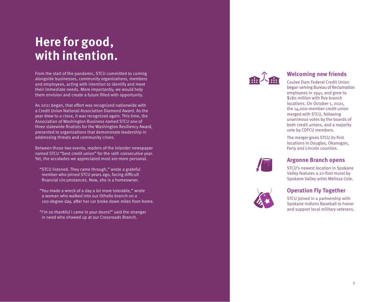# **Here for good, with intention.**

From the start of the pandemic, STCU committed to coming alongside businesses, community organizations, members and employees, acting with intention to identify and meet their immediate needs. More importantly, we would help them envision and create a future filled with opportunity.

As 2021 began, that effort was recognized nationwide with a Credit Union National Association Diamond Award. As the year drew to a close, it was recognized again. This time, the Association of Washington Business named STCU one of three statewide finalists for the Washington Resiliency Award, presented to organizations that demonstrate leadership in addressing threats and community crises.

Between those two events, readers of the Inlander newspaper named STCU "best credit union" for the 16th consecutive year. Yet, the accolades we appreciated most are more personal.

- "STCU listened. They came through," wrote a grateful member who joined STCU years ago, facing difficult financial circumstances. Now, she is a homeowner.
- "You made a wreck of a day a lot more tolerable," wrote a woman who walked into our Othello branch on a 100-degree day, after her car broke down miles from home.
- "I'm so thankful I came in your doors!" said the stranger in need who showed up at our Crossroads Branch.



### **Welcoming new friends**

Coulee Dam Federal Credit Union began serving Bureau of Reclamation employees in 1941, and grew to \$180 million with five branch locations. On October 1, 2021, the 14,000-member credit union merged with STCU, following unanimous votes by the boards of both credit unions, and a majority vote by CDFCU members.

The merger gives STCU its first locations in Douglas, Okanogan, Ferry and Lincoln counties.



## **Argonne Branch opens**

STCU's newest location in Spokane Valley features a 22-foot mural by Spokane Valley artist Melissa Cole.



## **Operation Fly Together**

STCU joined in a partnership with Spokane Indians Baseball to honor and support local military veterans.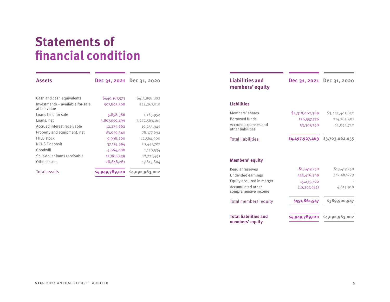## **Statements of financial condition**

| <b>Assets</b>                                      |                 | Dec 31, 2021 Dec 31, 2020 |
|----------------------------------------------------|-----------------|---------------------------|
|                                                    |                 |                           |
| Cash and cash equivalents                          | \$440,187,573   | \$413,858,802             |
| Investments - available-for-sale,<br>at fair value | 507,805,568     | 244,267,010               |
| Loans held for sale                                | 5,858,386       | 1,165,952                 |
| Loans, net                                         | 3,807,050,499   | 3,272,563,165             |
| Accrued interest receivable                        | 12,275,662      | 10,255,945                |
| Property and equipment, net                        | 83,059,340      | 78,177,692                |
| <b>FHLB</b> stock                                  | 9,998,200       | 12,564,900                |
| NCUSIF deposit                                     | 37,174,994      | 28,441,707                |
| Goodwill                                           | 4,664,088       | 1,130,534                 |
| Split-dollar loans receivable                      | 12,866,439      | 12,721,491                |
| Other assets                                       | 28,848,261      | 17,815,804                |
| Total assets                                       | \$4,949,789,010 | \$4,092,963,002           |

the control of the control of the control of the control of the control of the control of

| <b>Liabilities and</b><br>members' equity | Dec 31, 2021    | Dec 31, 2020                             |
|-------------------------------------------|-----------------|------------------------------------------|
| <b>Liabilities</b>                        |                 |                                          |
| Members' shares                           | \$4,318,062,389 | \$3,443,401,832                          |
| Borrowed funds                            | 126,557,776     | 214,765,481                              |
| Accrued expenses and<br>other liabilities | 53,307,298      | 44,894,742                               |
| <b>Total liabilities</b>                  | \$4,497,927,463 | \$3,703,062,055                          |
|                                           |                 |                                          |
| <b>Members' equity</b>                    |                 |                                          |
| Regular reserves                          | \$13,417,250    |                                          |
| Undivided earnings                        | 433,416,509     |                                          |
| Equity acquired in merger                 | 15,235,700      |                                          |
| Accumulated other<br>comprehensive income | (10, 207, 912)  | \$13,417,250<br>372,467,779<br>4,015,918 |
| Total members' equity                     | \$451,861,547   | \$389,900,947                            |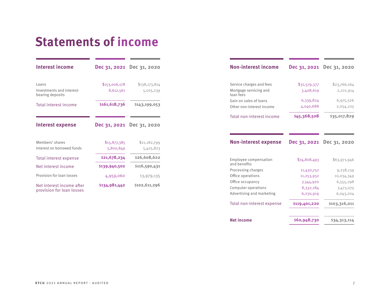# **Statements of income**

**Contract Contract** 

the control of the control of the control of

**Contract Contract Contract Contract** 

| <b>Interest income</b>                                 |                           | Dec 31, 2021 Dec 31, 2020 |
|--------------------------------------------------------|---------------------------|---------------------------|
| Loans                                                  | \$153,006,178             | \$138,173,814             |
| Investments and interest-<br>bearing deposits          | 8,612,561                 | 5,025,239                 |
| Total interest income                                  | \$161,618,736             | \$143,199,053             |
| Interest expense                                       | Dec 31, 2021              | Dec 31, 2020              |
| Members' shares<br>Interest on borrowed funds          | \$15,877,385<br>5,800,849 | \$21,182,799<br>5,425,823 |
| Total interest expense                                 | \$21,678,234              | \$26,608,622              |
| Net interest income                                    | \$139,940,502             | \$116,590,431             |
| Provision for loan losses                              | 4,959,060                 | 13,979,135                |
| Net interest income after<br>provision for loan losses | \$134,981,442             | \$102,611,296             |

| <b>Non-interest income</b>            | Dec 31, 2021 | Dec 31, 2020 |
|---------------------------------------|--------------|--------------|
| Service charges and fees              | \$31,579,377 | \$23,766,164 |
| Mortgage servicing and<br>loan fees   | 3,408,619    | 2,221,914    |
| Gain on sales of loans                | 6,339,824    | 6,975,526    |
| Other non-interest income             | 4,040,688    | 2,054,225    |
| Total non-interest income             | \$45,368,508 | \$35,017,829 |
|                                       |              |              |
| <b>Non-interest expense</b>           | Dec 31, 2021 | Dec 31, 2020 |
| Employee compensation<br>and henefits | \$74,808,493 | \$63,971,946 |
| Processing charges                    | 11,430,752   | 9,238,139    |
| Office operations                     | 11,253,952   | 10,034,349   |
| Office occupancy                      | 7,344,920    | 6,555,298    |
| Computer operations                   | 8,332,184    | 7,473,075    |
| Advertising and marketing             | 6,230,919    | 6,043,204    |

the control of the control of the control of

the control of the control of the

| Net income | \$60,948,730 | \$34,313,114 |
|------------|--------------|--------------|
|            |              |              |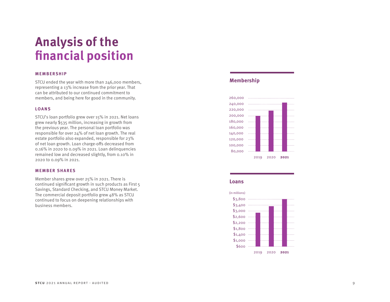# **Analysis of the financial position**

#### **MEMBERSHIP**

STCU ended the year with more than 246,000 members, representing a 13% increase from the prior year. That can be attributed to our continued commitment to members, and being here for good in the community.

#### **LOANS**

STCU's loan portfolio grew over 15% in 2021. Net loans grew nearly \$535 million, increasing in growth from the previous year. The personal loan portfolio was responsible for over 24% of net loan growth. The real estate portfolio also expanded, responsible for 23% of net loan growth. Loan charge-offs decreased from 0.16% in 2020 to 0.09% in 2021. Loan delinquencies remained low and decreased slightly, from 0.10% in 2020 to 0.09% in 2021.

#### **MEMBER SHARES**

Member shares grew over 25% in 2021. There is continued significant growth in such products as First 5 Savings, Standard Checking, and STCU Money Market. The commercial deposit portfolio grew 48% as STCU continued to focus on deepening relationships with business members.

### **Membership**



#### **Loans**

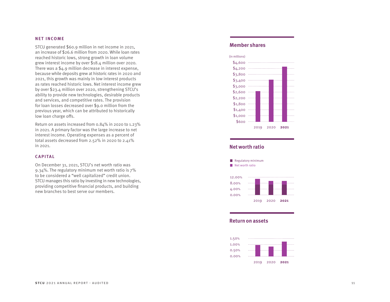#### **NET INCOME**

STCU generated \$60.9 million in net income in 2021, an increase of \$26.6 million from 2020. While loan rates reached historic lows, strong growth in loan volume grew interest income by over \$18.4 million over 2020. There was a \$4.9 million decrease in interest expense, because while deposits grew at historic rates in 2020 and 2021, this growth was mainly in low interest products as rates reached historic lows. Net interest income grew by over \$23.4 million over 2020, strengthening STCU's ability to provide new technologies, desirable products and services, and competitive rates. The provision for loan losses decreased over \$9.0 million from the previous year, which can be attributed to historically low loan charge offs.

Return on assets increased from 0.84% in 2020 to 1.23% in 2021. A primary factor was the large increase to net interest income. Operating expenses as a percent of total assets decreased from 2.52% in 2020 to 2.41% in 2021.

#### **C A P I TA L**

On December 31, 2021, STCU's net worth ratio was 9.34%. The regulatory minimum net worth ratio is 7% to be considered a "well capitalized" credit union. STCU manages this ratio by investing in new technologies, providing competitive financial products, and building new branches to best serve our members.

### **Member shares**



### **Net worth ratio**



#### **Return on assets**